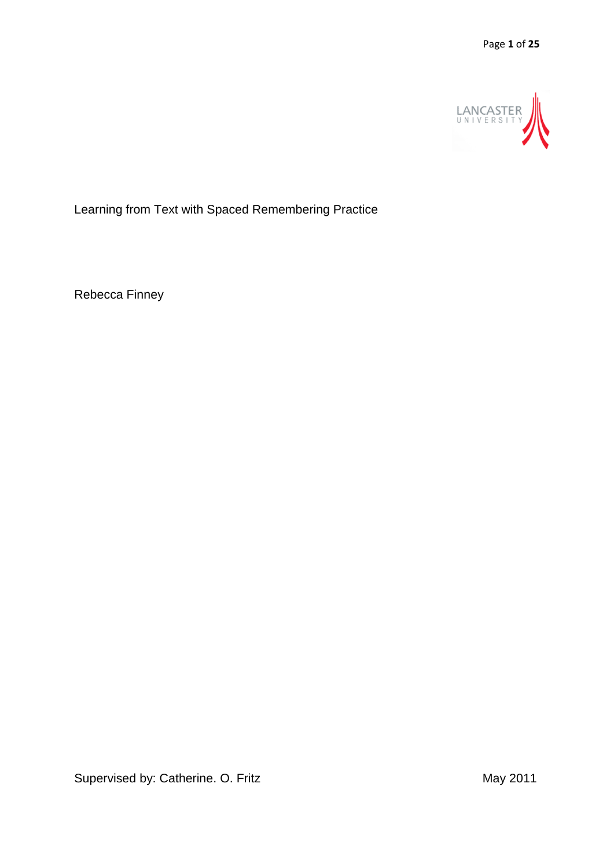

Learning from Text with Spaced Remembering Practice

Rebecca Finney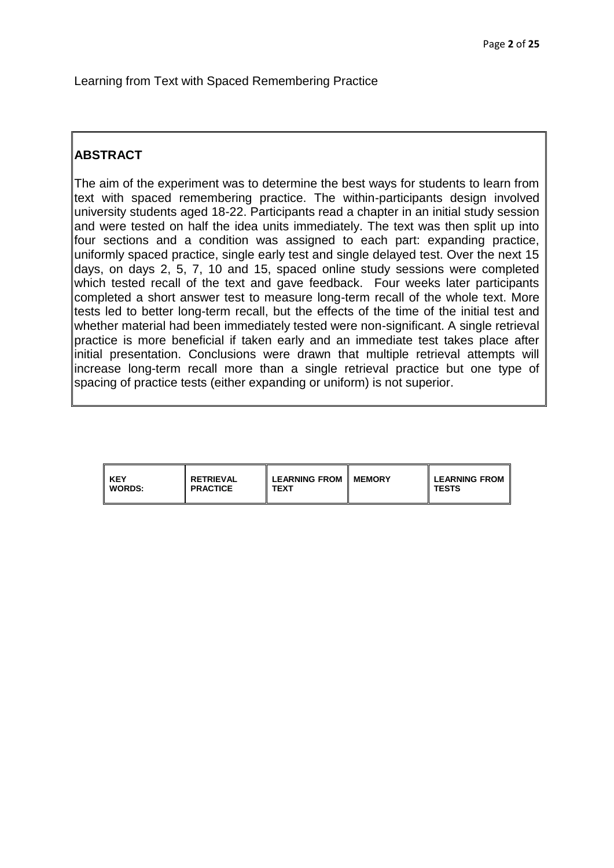Learning from Text with Spaced Remembering Practice

# **ABSTRACT**

The aim of the experiment was to determine the best ways for students to learn from text with spaced remembering practice. The within-participants design involved university students aged 18-22. Participants read a chapter in an initial study session and were tested on half the idea units immediately. The text was then split up into four sections and a condition was assigned to each part: expanding practice, uniformly spaced practice, single early test and single delayed test. Over the next 15 days, on days 2, 5, 7, 10 and 15, spaced online study sessions were completed which tested recall of the text and gave feedback. Four weeks later participants completed a short answer test to measure long-term recall of the whole text. More tests led to better long-term recall, but the effects of the time of the initial test and whether material had been immediately tested were non-significant. A single retrieval practice is more beneficial if taken early and an immediate test takes place after initial presentation. Conclusions were drawn that multiple retrieval attempts will increase long-term recall more than a single retrieval practice but one type of spacing of practice tests (either expanding or uniform) is not superior.

| l KEY    | <b>RETRIEVAL</b> | <b>LEARNING FROM</b> | <b>MEMORY</b> | <b>LEARNING FROM</b> |
|----------|------------------|----------------------|---------------|----------------------|
| I WORDS: | <b>PRACTICE</b>  | TEXT                 |               | <b>TESTS</b>         |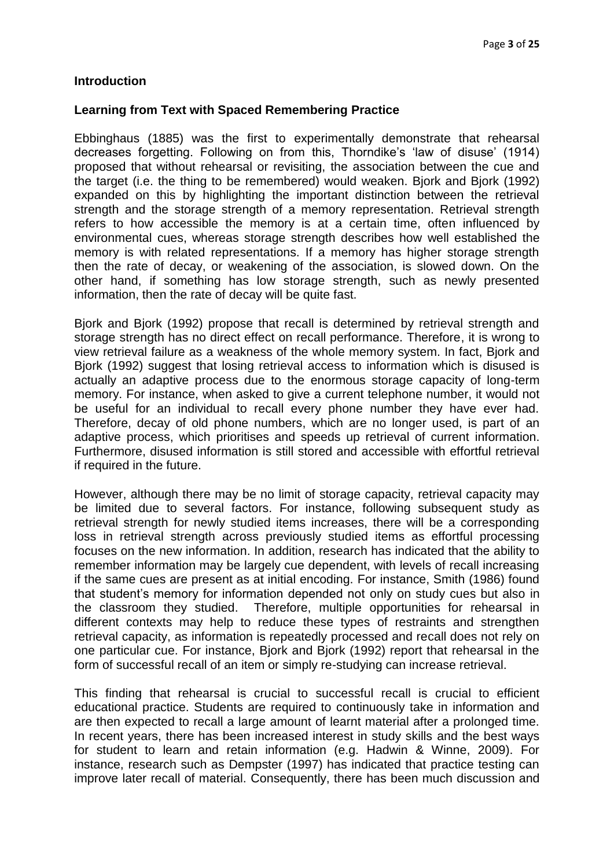#### **Introduction**

#### **Learning from Text with Spaced Remembering Practice**

Ebbinghaus (1885) was the first to experimentally demonstrate that rehearsal decreases forgetting. Following on from this, Thorndike's 'law of disuse' (1914) proposed that without rehearsal or revisiting, the association between the cue and the target (i.e. the thing to be remembered) would weaken. Bjork and Bjork (1992) expanded on this by highlighting the important distinction between the retrieval strength and the storage strength of a memory representation. Retrieval strength refers to how accessible the memory is at a certain time, often influenced by environmental cues, whereas storage strength describes how well established the memory is with related representations. If a memory has higher storage strength then the rate of decay, or weakening of the association, is slowed down. On the other hand, if something has low storage strength, such as newly presented information, then the rate of decay will be quite fast.

Bjork and Bjork (1992) propose that recall is determined by retrieval strength and storage strength has no direct effect on recall performance. Therefore, it is wrong to view retrieval failure as a weakness of the whole memory system. In fact, Bjork and Bjork (1992) suggest that losing retrieval access to information which is disused is actually an adaptive process due to the enormous storage capacity of long-term memory. For instance, when asked to give a current telephone number, it would not be useful for an individual to recall every phone number they have ever had. Therefore, decay of old phone numbers, which are no longer used, is part of an adaptive process, which prioritises and speeds up retrieval of current information. Furthermore, disused information is still stored and accessible with effortful retrieval if required in the future.

However, although there may be no limit of storage capacity, retrieval capacity may be limited due to several factors. For instance, following subsequent study as retrieval strength for newly studied items increases, there will be a corresponding loss in retrieval strength across previously studied items as effortful processing focuses on the new information. In addition, research has indicated that the ability to remember information may be largely cue dependent, with levels of recall increasing if the same cues are present as at initial encoding. For instance, Smith (1986) found that student's memory for information depended not only on study cues but also in the classroom they studied. Therefore, multiple opportunities for rehearsal in different contexts may help to reduce these types of restraints and strengthen retrieval capacity, as information is repeatedly processed and recall does not rely on one particular cue. For instance, Bjork and Bjork (1992) report that rehearsal in the form of successful recall of an item or simply re-studying can increase retrieval.

This finding that rehearsal is crucial to successful recall is crucial to efficient educational practice. Students are required to continuously take in information and are then expected to recall a large amount of learnt material after a prolonged time. In recent years, there has been increased interest in study skills and the best ways for student to learn and retain information (e.g. Hadwin & Winne, 2009). For instance, research such as Dempster (1997) has indicated that practice testing can improve later recall of material. Consequently, there has been much discussion and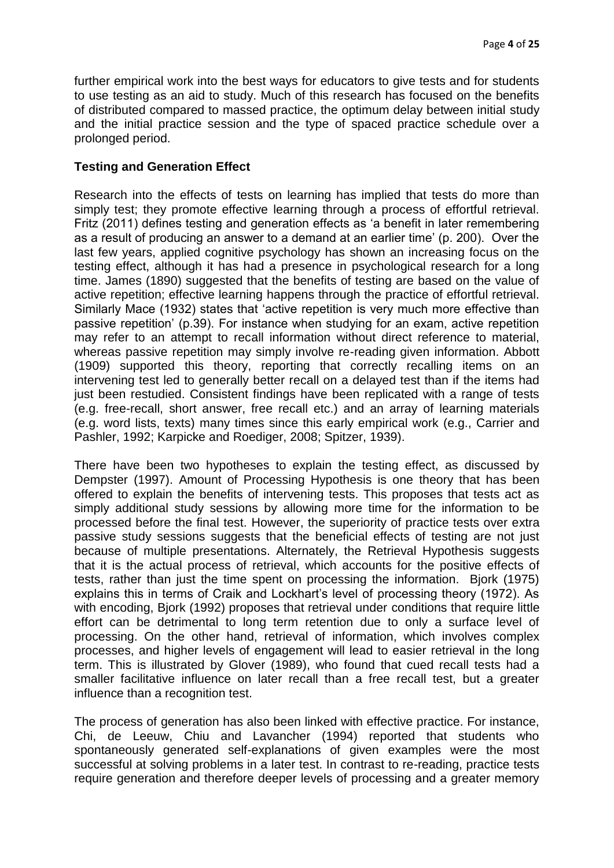further empirical work into the best ways for educators to give tests and for students to use testing as an aid to study. Much of this research has focused on the benefits of distributed compared to massed practice, the optimum delay between initial study and the initial practice session and the type of spaced practice schedule over a prolonged period.

#### **Testing and Generation Effect**

Research into the effects of tests on learning has implied that tests do more than simply test; they promote effective learning through a process of effortful retrieval. Fritz (2011) defines testing and generation effects as 'a benefit in later remembering as a result of producing an answer to a demand at an earlier time' (p. 200). Over the last few years, applied cognitive psychology has shown an increasing focus on the testing effect, although it has had a presence in psychological research for a long time. James (1890) suggested that the benefits of testing are based on the value of active repetition; effective learning happens through the practice of effortful retrieval. Similarly Mace (1932) states that 'active repetition is very much more effective than passive repetition' (p.39). For instance when studying for an exam, active repetition may refer to an attempt to recall information without direct reference to material, whereas passive repetition may simply involve re-reading given information. Abbott (1909) supported this theory, reporting that correctly recalling items on an intervening test led to generally better recall on a delayed test than if the items had just been restudied. Consistent findings have been replicated with a range of tests (e.g. free-recall, short answer, free recall etc.) and an array of learning materials (e.g. word lists, texts) many times since this early empirical work (e.g., Carrier and Pashler, 1992; Karpicke and Roediger, 2008; Spitzer, 1939).

There have been two hypotheses to explain the testing effect, as discussed by Dempster (1997). Amount of Processing Hypothesis is one theory that has been offered to explain the benefits of intervening tests. This proposes that tests act as simply additional study sessions by allowing more time for the information to be processed before the final test. However, the superiority of practice tests over extra passive study sessions suggests that the beneficial effects of testing are not just because of multiple presentations. Alternately, the Retrieval Hypothesis suggests that it is the actual process of retrieval, which accounts for the positive effects of tests, rather than just the time spent on processing the information. Bjork (1975) explains this in terms of Craik and Lockhart's level of processing theory (1972). As with encoding, Bjork (1992) proposes that retrieval under conditions that require little effort can be detrimental to long term retention due to only a surface level of processing. On the other hand, retrieval of information, which involves complex processes, and higher levels of engagement will lead to easier retrieval in the long term. This is illustrated by Glover (1989), who found that cued recall tests had a smaller facilitative influence on later recall than a free recall test, but a greater influence than a recognition test.

The process of generation has also been linked with effective practice. For instance, Chi, de Leeuw, Chiu and Lavancher (1994) reported that students who spontaneously generated self-explanations of given examples were the most successful at solving problems in a later test. In contrast to re-reading, practice tests require generation and therefore deeper levels of processing and a greater memory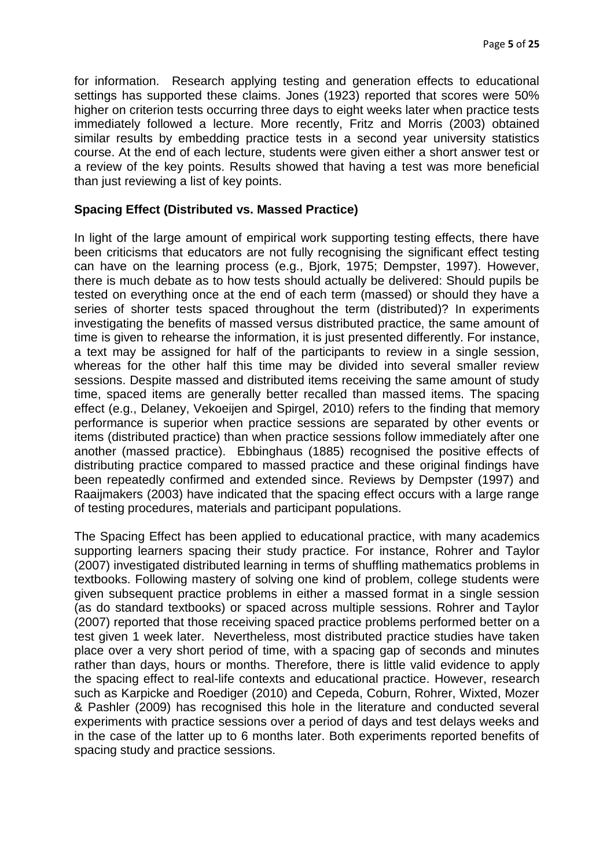for information. Research applying testing and generation effects to educational settings has supported these claims. Jones (1923) reported that scores were 50% higher on criterion tests occurring three days to eight weeks later when practice tests immediately followed a lecture. More recently, Fritz and Morris (2003) obtained similar results by embedding practice tests in a second year university statistics course. At the end of each lecture, students were given either a short answer test or a review of the key points. Results showed that having a test was more beneficial than just reviewing a list of key points.

#### **Spacing Effect (Distributed vs. Massed Practice)**

In light of the large amount of empirical work supporting testing effects, there have been criticisms that educators are not fully recognising the significant effect testing can have on the learning process (e.g., Bjork, 1975; Dempster, 1997). However, there is much debate as to how tests should actually be delivered: Should pupils be tested on everything once at the end of each term (massed) or should they have a series of shorter tests spaced throughout the term (distributed)? In experiments investigating the benefits of massed versus distributed practice, the same amount of time is given to rehearse the information, it is just presented differently. For instance, a text may be assigned for half of the participants to review in a single session, whereas for the other half this time may be divided into several smaller review sessions. Despite massed and distributed items receiving the same amount of study time, spaced items are generally better recalled than massed items. The spacing effect (e.g., Delaney, Vekoeijen and Spirgel, 2010) refers to the finding that memory performance is superior when practice sessions are separated by other events or items (distributed practice) than when practice sessions follow immediately after one another (massed practice). Ebbinghaus (1885) recognised the positive effects of distributing practice compared to massed practice and these original findings have been repeatedly confirmed and extended since. Reviews by Dempster (1997) and Raaijmakers (2003) have indicated that the spacing effect occurs with a large range of testing procedures, materials and participant populations.

The Spacing Effect has been applied to educational practice, with many academics supporting learners spacing their study practice. For instance, Rohrer and Taylor (2007) investigated distributed learning in terms of shuffling mathematics problems in textbooks. Following mastery of solving one kind of problem, college students were given subsequent practice problems in either a massed format in a single session (as do standard textbooks) or spaced across multiple sessions. Rohrer and Taylor (2007) reported that those receiving spaced practice problems performed better on a test given 1 week later. Nevertheless, most distributed practice studies have taken place over a very short period of time, with a spacing gap of seconds and minutes rather than days, hours or months. Therefore, there is little valid evidence to apply the spacing effect to real-life contexts and educational practice. However, research such as Karpicke and Roediger (2010) and Cepeda, Coburn, Rohrer, Wixted, Mozer & Pashler (2009) has recognised this hole in the literature and conducted several experiments with practice sessions over a period of days and test delays weeks and in the case of the latter up to 6 months later. Both experiments reported benefits of spacing study and practice sessions.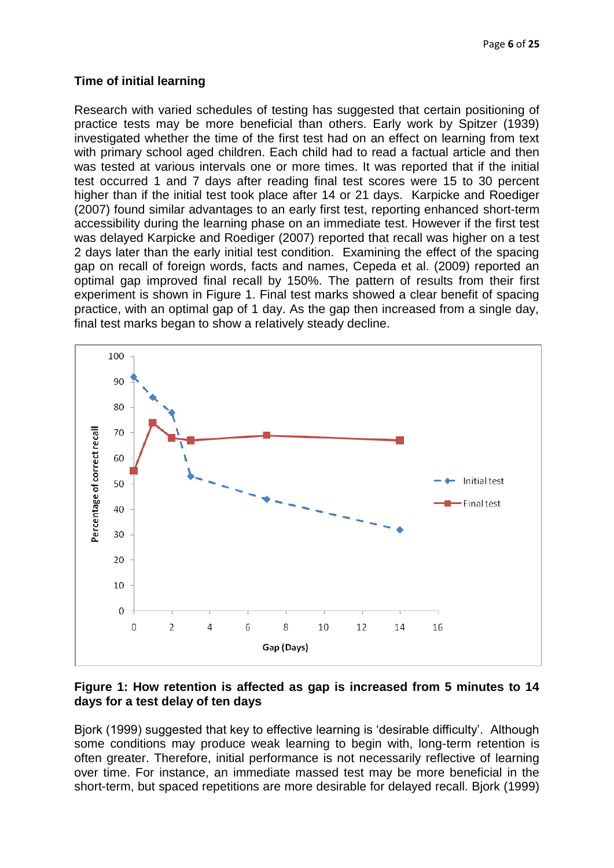### **Time of initial learning**

Research with varied schedules of testing has suggested that certain positioning of practice tests may be more beneficial than others. Early work by Spitzer (1939) investigated whether the time of the first test had on an effect on learning from text with primary school aged children. Each child had to read a factual article and then was tested at various intervals one or more times. It was reported that if the initial test occurred 1 and 7 days after reading final test scores were 15 to 30 percent higher than if the initial test took place after 14 or 21 days. Karpicke and Roediger (2007) found similar advantages to an early first test, reporting enhanced short-term accessibility during the learning phase on an immediate test. However if the first test was delayed Karpicke and Roediger (2007) reported that recall was higher on a test 2 days later than the early initial test condition. Examining the effect of the spacing gap on recall of foreign words, facts and names, Cepeda et al. (2009) reported an optimal gap improved final recall by 150%. The pattern of results from their first experiment is shown in Figure 1. Final test marks showed a clear benefit of spacing practice, with an optimal gap of 1 day. As the gap then increased from a single day, final test marks began to show a relatively steady decline.



# **Figure 1: How retention is affected as gap is increased from 5 minutes to 14 days for a test delay of ten days**

Biork (1999) suggested that key to effective learning is 'desirable difficulty'. Although some conditions may produce weak learning to begin with, long-term retention is often greater. Therefore, initial performance is not necessarily reflective of learning over time. For instance, an immediate massed test may be more beneficial in the short-term, but spaced repetitions are more desirable for delayed recall. Bjork (1999)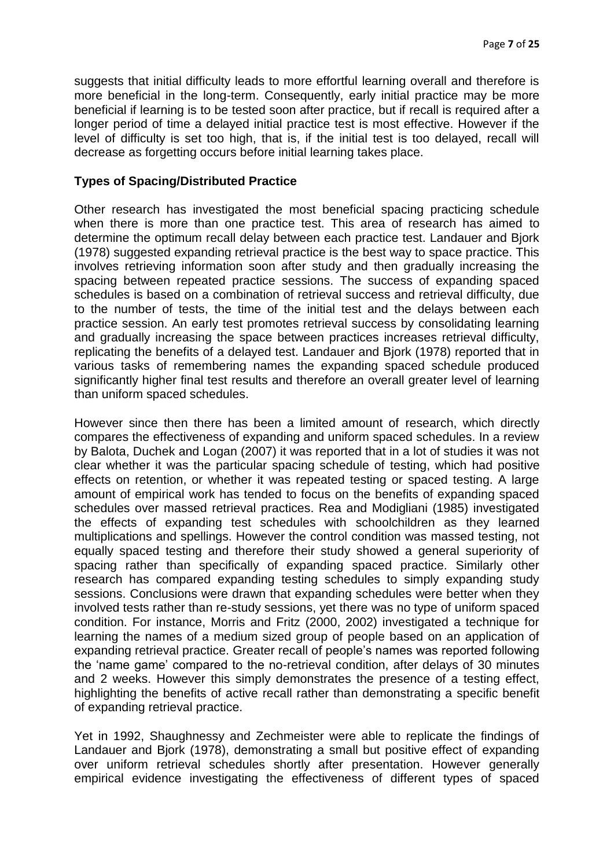suggests that initial difficulty leads to more effortful learning overall and therefore is more beneficial in the long-term. Consequently, early initial practice may be more beneficial if learning is to be tested soon after practice, but if recall is required after a longer period of time a delayed initial practice test is most effective. However if the level of difficulty is set too high, that is, if the initial test is too delayed, recall will decrease as forgetting occurs before initial learning takes place.

#### **Types of Spacing/Distributed Practice**

Other research has investigated the most beneficial spacing practicing schedule when there is more than one practice test. This area of research has aimed to determine the optimum recall delay between each practice test. Landauer and Bjork (1978) suggested expanding retrieval practice is the best way to space practice. This involves retrieving information soon after study and then gradually increasing the spacing between repeated practice sessions. The success of expanding spaced schedules is based on a combination of retrieval success and retrieval difficulty, due to the number of tests, the time of the initial test and the delays between each practice session. An early test promotes retrieval success by consolidating learning and gradually increasing the space between practices increases retrieval difficulty, replicating the benefits of a delayed test. Landauer and Bjork (1978) reported that in various tasks of remembering names the expanding spaced schedule produced significantly higher final test results and therefore an overall greater level of learning than uniform spaced schedules.

However since then there has been a limited amount of research, which directly compares the effectiveness of expanding and uniform spaced schedules. In a review by Balota, Duchek and Logan (2007) it was reported that in a lot of studies it was not clear whether it was the particular spacing schedule of testing, which had positive effects on retention, or whether it was repeated testing or spaced testing. A large amount of empirical work has tended to focus on the benefits of expanding spaced schedules over massed retrieval practices. Rea and Modigliani (1985) investigated the effects of expanding test schedules with schoolchildren as they learned multiplications and spellings. However the control condition was massed testing, not equally spaced testing and therefore their study showed a general superiority of spacing rather than specifically of expanding spaced practice. Similarly other research has compared expanding testing schedules to simply expanding study sessions. Conclusions were drawn that expanding schedules were better when they involved tests rather than re-study sessions, yet there was no type of uniform spaced condition. For instance, Morris and Fritz (2000, 2002) investigated a technique for learning the names of a medium sized group of people based on an application of expanding retrieval practice. Greater recall of people's names was reported following the 'name game' compared to the no-retrieval condition, after delays of 30 minutes and 2 weeks. However this simply demonstrates the presence of a testing effect, highlighting the benefits of active recall rather than demonstrating a specific benefit of expanding retrieval practice.

Yet in 1992, Shaughnessy and Zechmeister were able to replicate the findings of Landauer and Bjork (1978), demonstrating a small but positive effect of expanding over uniform retrieval schedules shortly after presentation. However generally empirical evidence investigating the effectiveness of different types of spaced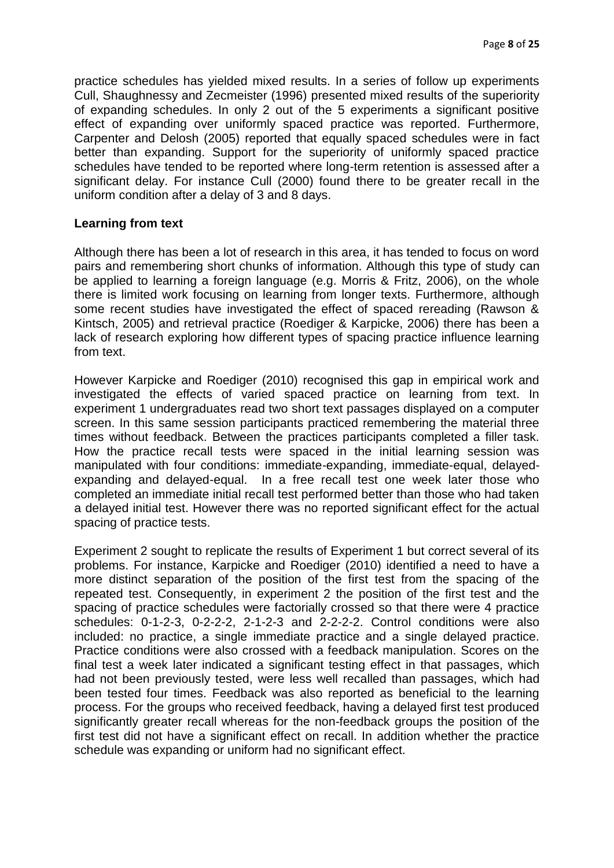practice schedules has yielded mixed results. In a series of follow up experiments Cull, Shaughnessy and Zecmeister (1996) presented mixed results of the superiority of expanding schedules. In only 2 out of the 5 experiments a significant positive effect of expanding over uniformly spaced practice was reported. Furthermore, Carpenter and Delosh (2005) reported that equally spaced schedules were in fact better than expanding. Support for the superiority of uniformly spaced practice schedules have tended to be reported where long-term retention is assessed after a significant delay. For instance Cull (2000) found there to be greater recall in the uniform condition after a delay of 3 and 8 days.

#### **Learning from text**

Although there has been a lot of research in this area, it has tended to focus on word pairs and remembering short chunks of information. Although this type of study can be applied to learning a foreign language (e.g. Morris & Fritz, 2006), on the whole there is limited work focusing on learning from longer texts. Furthermore, although some recent studies have investigated the effect of spaced rereading (Rawson & Kintsch, 2005) and retrieval practice (Roediger & Karpicke, 2006) there has been a lack of research exploring how different types of spacing practice influence learning from text.

However Karpicke and Roediger (2010) recognised this gap in empirical work and investigated the effects of varied spaced practice on learning from text. In experiment 1 undergraduates read two short text passages displayed on a computer screen. In this same session participants practiced remembering the material three times without feedback. Between the practices participants completed a filler task. How the practice recall tests were spaced in the initial learning session was manipulated with four conditions: immediate-expanding, immediate-equal, delayedexpanding and delayed-equal. In a free recall test one week later those who completed an immediate initial recall test performed better than those who had taken a delayed initial test. However there was no reported significant effect for the actual spacing of practice tests.

Experiment 2 sought to replicate the results of Experiment 1 but correct several of its problems. For instance, Karpicke and Roediger (2010) identified a need to have a more distinct separation of the position of the first test from the spacing of the repeated test. Consequently, in experiment 2 the position of the first test and the spacing of practice schedules were factorially crossed so that there were 4 practice schedules: 0-1-2-3, 0-2-2-2, 2-1-2-3 and 2-2-2-2. Control conditions were also included: no practice, a single immediate practice and a single delayed practice. Practice conditions were also crossed with a feedback manipulation. Scores on the final test a week later indicated a significant testing effect in that passages, which had not been previously tested, were less well recalled than passages, which had been tested four times. Feedback was also reported as beneficial to the learning process. For the groups who received feedback, having a delayed first test produced significantly greater recall whereas for the non-feedback groups the position of the first test did not have a significant effect on recall. In addition whether the practice schedule was expanding or uniform had no significant effect.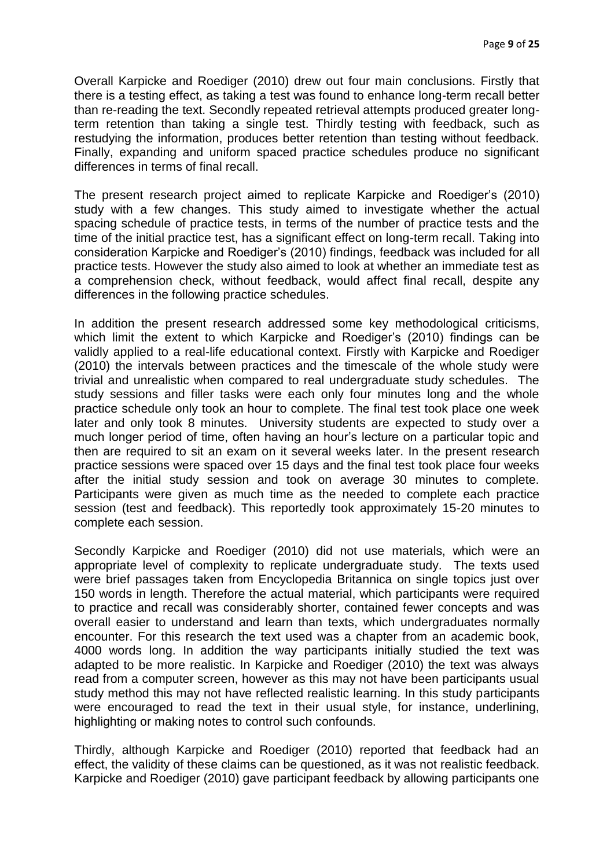Overall Karpicke and Roediger (2010) drew out four main conclusions. Firstly that there is a testing effect, as taking a test was found to enhance long-term recall better than re-reading the text. Secondly repeated retrieval attempts produced greater longterm retention than taking a single test. Thirdly testing with feedback, such as restudying the information, produces better retention than testing without feedback. Finally, expanding and uniform spaced practice schedules produce no significant differences in terms of final recall.

The present research project aimed to replicate Karpicke and Roediger's (2010) study with a few changes. This study aimed to investigate whether the actual spacing schedule of practice tests, in terms of the number of practice tests and the time of the initial practice test, has a significant effect on long-term recall. Taking into consideration Karpicke and Roediger's (2010) findings, feedback was included for all practice tests. However the study also aimed to look at whether an immediate test as a comprehension check, without feedback, would affect final recall, despite any differences in the following practice schedules.

In addition the present research addressed some key methodological criticisms, which limit the extent to which Karpicke and Roediger's (2010) findings can be validly applied to a real-life educational context. Firstly with Karpicke and Roediger (2010) the intervals between practices and the timescale of the whole study were trivial and unrealistic when compared to real undergraduate study schedules. The study sessions and filler tasks were each only four minutes long and the whole practice schedule only took an hour to complete. The final test took place one week later and only took 8 minutes. University students are expected to study over a much longer period of time, often having an hour's lecture on a particular topic and then are required to sit an exam on it several weeks later. In the present research practice sessions were spaced over 15 days and the final test took place four weeks after the initial study session and took on average 30 minutes to complete. Participants were given as much time as the needed to complete each practice session (test and feedback). This reportedly took approximately 15-20 minutes to complete each session.

Secondly Karpicke and Roediger (2010) did not use materials, which were an appropriate level of complexity to replicate undergraduate study. The texts used were brief passages taken from Encyclopedia Britannica on single topics just over 150 words in length. Therefore the actual material, which participants were required to practice and recall was considerably shorter, contained fewer concepts and was overall easier to understand and learn than texts, which undergraduates normally encounter. For this research the text used was a chapter from an academic book, 4000 words long. In addition the way participants initially studied the text was adapted to be more realistic. In Karpicke and Roediger (2010) the text was always read from a computer screen, however as this may not have been participants usual study method this may not have reflected realistic learning. In this study participants were encouraged to read the text in their usual style, for instance, underlining, highlighting or making notes to control such confounds.

Thirdly, although Karpicke and Roediger (2010) reported that feedback had an effect, the validity of these claims can be questioned, as it was not realistic feedback. Karpicke and Roediger (2010) gave participant feedback by allowing participants one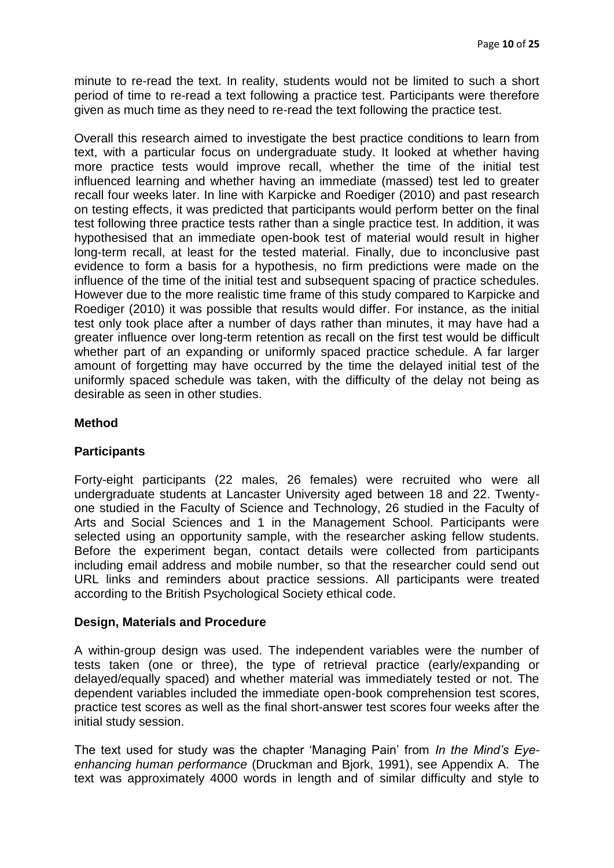minute to re-read the text. In reality, students would not be limited to such a short period of time to re-read a text following a practice test. Participants were therefore given as much time as they need to re-read the text following the practice test.

Overall this research aimed to investigate the best practice conditions to learn from text, with a particular focus on undergraduate study. It looked at whether having more practice tests would improve recall, whether the time of the initial test influenced learning and whether having an immediate (massed) test led to greater recall four weeks later. In line with Karpicke and Roediger (2010) and past research on testing effects, it was predicted that participants would perform better on the final test following three practice tests rather than a single practice test. In addition, it was hypothesised that an immediate open-book test of material would result in higher long-term recall, at least for the tested material. Finally, due to inconclusive past evidence to form a basis for a hypothesis, no firm predictions were made on the influence of the time of the initial test and subsequent spacing of practice schedules. However due to the more realistic time frame of this study compared to Karpicke and Roediger (2010) it was possible that results would differ. For instance, as the initial test only took place after a number of days rather than minutes, it may have had a greater influence over long-term retention as recall on the first test would be difficult whether part of an expanding or uniformly spaced practice schedule. A far larger amount of forgetting may have occurred by the time the delayed initial test of the uniformly spaced schedule was taken, with the difficulty of the delay not being as desirable as seen in other studies.

# **Method**

# **Participants**

Forty-eight participants (22 males, 26 females) were recruited who were all undergraduate students at Lancaster University aged between 18 and 22. Twentyone studied in the Faculty of Science and Technology, 26 studied in the Faculty of Arts and Social Sciences and 1 in the Management School. Participants were selected using an opportunity sample, with the researcher asking fellow students. Before the experiment began, contact details were collected from participants including email address and mobile number, so that the researcher could send out URL links and reminders about practice sessions. All participants were treated according to the British Psychological Society ethical code.

# **Design, Materials and Procedure**

A within-group design was used. The independent variables were the number of tests taken (one or three), the type of retrieval practice (early/expanding or delayed/equally spaced) and whether material was immediately tested or not. The dependent variables included the immediate open-book comprehension test scores, practice test scores as well as the final short-answer test scores four weeks after the initial study session.

The text used for study was the chapter 'Managing Pain' from *In the Mind's Eyeenhancing human performance* (Druckman and Bjork, 1991), see Appendix A. The text was approximately 4000 words in length and of similar difficulty and style to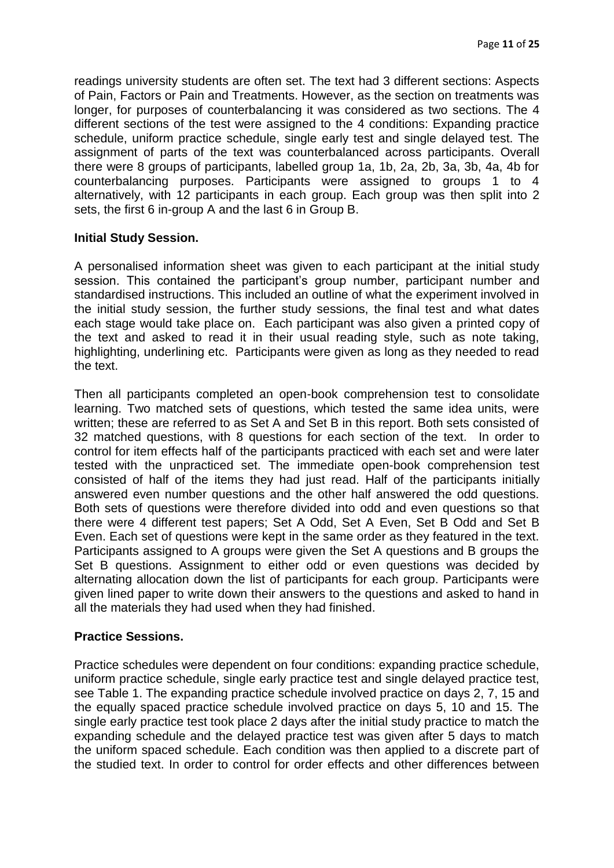readings university students are often set. The text had 3 different sections: Aspects of Pain, Factors or Pain and Treatments. However, as the section on treatments was longer, for purposes of counterbalancing it was considered as two sections. The 4 different sections of the test were assigned to the 4 conditions: Expanding practice schedule, uniform practice schedule, single early test and single delayed test. The assignment of parts of the text was counterbalanced across participants. Overall there were 8 groups of participants, labelled group 1a, 1b, 2a, 2b, 3a, 3b, 4a, 4b for counterbalancing purposes. Participants were assigned to groups 1 to 4 alternatively, with 12 participants in each group. Each group was then split into 2 sets, the first 6 in-group A and the last 6 in Group B.

#### **Initial Study Session.**

A personalised information sheet was given to each participant at the initial study session. This contained the participant's group number, participant number and standardised instructions. This included an outline of what the experiment involved in the initial study session, the further study sessions, the final test and what dates each stage would take place on. Each participant was also given a printed copy of the text and asked to read it in their usual reading style, such as note taking, highlighting, underlining etc. Participants were given as long as they needed to read the text.

Then all participants completed an open-book comprehension test to consolidate learning. Two matched sets of questions, which tested the same idea units, were written; these are referred to as Set A and Set B in this report. Both sets consisted of 32 matched questions, with 8 questions for each section of the text. In order to control for item effects half of the participants practiced with each set and were later tested with the unpracticed set. The immediate open-book comprehension test consisted of half of the items they had just read. Half of the participants initially answered even number questions and the other half answered the odd questions. Both sets of questions were therefore divided into odd and even questions so that there were 4 different test papers; Set A Odd, Set A Even, Set B Odd and Set B Even. Each set of questions were kept in the same order as they featured in the text. Participants assigned to A groups were given the Set A questions and B groups the Set B questions. Assignment to either odd or even questions was decided by alternating allocation down the list of participants for each group. Participants were given lined paper to write down their answers to the questions and asked to hand in all the materials they had used when they had finished.

#### **Practice Sessions.**

Practice schedules were dependent on four conditions: expanding practice schedule, uniform practice schedule, single early practice test and single delayed practice test, see Table 1. The expanding practice schedule involved practice on days 2, 7, 15 and the equally spaced practice schedule involved practice on days 5, 10 and 15. The single early practice test took place 2 days after the initial study practice to match the expanding schedule and the delayed practice test was given after 5 days to match the uniform spaced schedule. Each condition was then applied to a discrete part of the studied text. In order to control for order effects and other differences between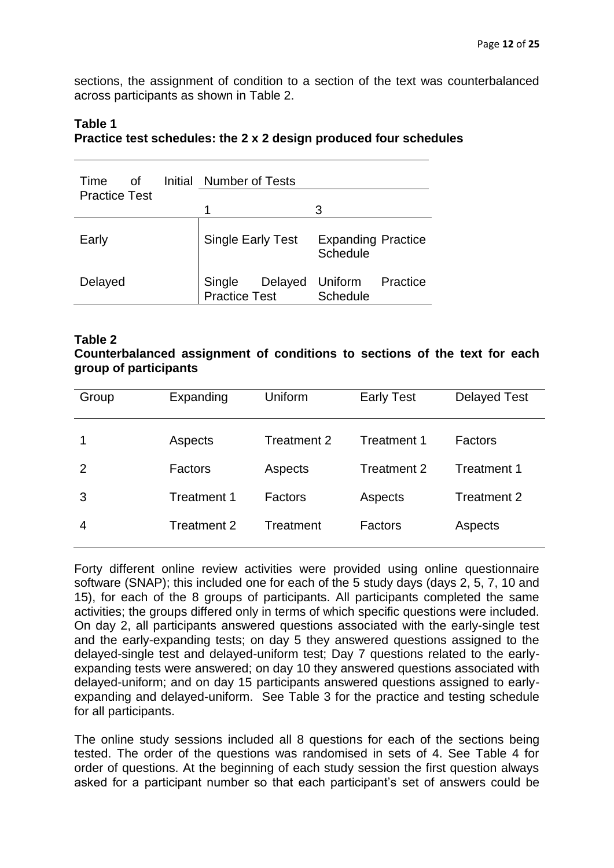sections, the assignment of condition to a section of the text was counterbalanced across participants as shown in Table 2.

| Time<br>Ωf<br><b>Practice Test</b> | Initial Number of Tests            |                                       |
|------------------------------------|------------------------------------|---------------------------------------|
|                                    |                                    | З                                     |
| Early                              | <b>Single Early Test</b>           | <b>Expanding Practice</b><br>Schedule |
| Delayed                            | Single<br>Delayed<br>Practice Test | Uniform<br>Practice<br>Schedule       |

#### **Table 1 Practice test schedules: the 2 x 2 design produced four schedules**

#### **Table 2**

# **Counterbalanced assignment of conditions to sections of the text for each group of participants**

| Group | Expanding   | Uniform     | <b>Early Test</b> | <b>Delayed Test</b> |
|-------|-------------|-------------|-------------------|---------------------|
|       | Aspects     | Treatment 2 | Treatment 1       | Factors             |
| 2     | Factors     | Aspects     | Treatment 2       | Treatment 1         |
| 3     | Treatment 1 | Factors     | Aspects           | Treatment 2         |
| 4     | Treatment 2 | Treatment   | Factors           | Aspects             |

Forty different online review activities were provided using online questionnaire software (SNAP); this included one for each of the 5 study days (days 2, 5, 7, 10 and 15), for each of the 8 groups of participants. All participants completed the same activities; the groups differed only in terms of which specific questions were included. On day 2, all participants answered questions associated with the early-single test and the early-expanding tests; on day 5 they answered questions assigned to the delayed-single test and delayed-uniform test; Day 7 questions related to the earlyexpanding tests were answered; on day 10 they answered questions associated with delayed-uniform; and on day 15 participants answered questions assigned to earlyexpanding and delayed-uniform. See Table 3 for the practice and testing schedule for all participants.

The online study sessions included all 8 questions for each of the sections being tested. The order of the questions was randomised in sets of 4. See Table 4 for order of questions. At the beginning of each study session the first question always asked for a participant number so that each participant's set of answers could be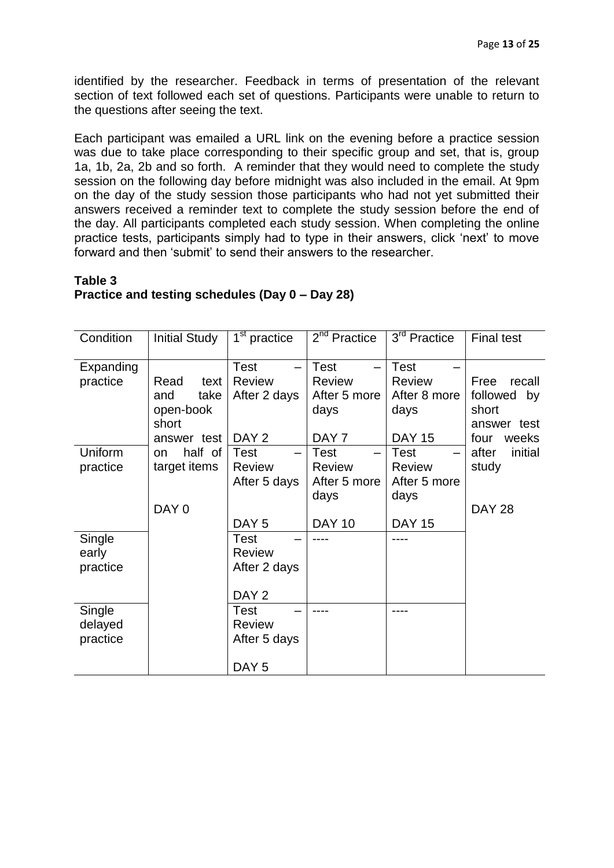identified by the researcher. Feedback in terms of presentation of the relevant section of text followed each set of questions. Participants were unable to return to the questions after seeing the text.

Each participant was emailed a URL link on the evening before a practice session was due to take place corresponding to their specific group and set, that is, group 1a, 1b, 2a, 2b and so forth. A reminder that they would need to complete the study session on the following day before midnight was also included in the email. At 9pm on the day of the study session those participants who had not yet submitted their answers received a reminder text to complete the study session before the end of the day. All participants completed each study session. When completing the online practice tests, participants simply had to type in their answers, click 'next' to move forward and then 'submit' to send their answers to the researcher.

# **Table 3 Practice and testing schedules (Day 0 – Day 28)**

| Condition                     | <b>Initial Study</b>                                             | $\overline{1}^{\text{st}}$ practice                              | $2nd$ Practice                                                           | 3 <sup>rd</sup> Practice                                              | <b>Final test</b>                                                      |
|-------------------------------|------------------------------------------------------------------|------------------------------------------------------------------|--------------------------------------------------------------------------|-----------------------------------------------------------------------|------------------------------------------------------------------------|
| Expanding<br>practice         | Read<br>text<br>take<br>and<br>open-book<br>short<br>answer test | <b>Test</b><br><b>Review</b><br>After 2 days<br>DAY <sub>2</sub> | <b>Test</b><br><b>Review</b><br>After 5 more<br>days<br>DAY <sub>7</sub> | <b>Test</b><br><b>Review</b><br>After 8 more<br>days<br><b>DAY 15</b> | recall<br>Free<br>followed by<br>short<br>answer test<br>four<br>weeks |
| Uniform<br>practice           | half of<br>on.<br>target items<br>DAY 0                          | <b>Test</b><br><b>Review</b><br>After 5 days<br>DAY <sub>5</sub> | <b>Test</b><br><b>Review</b><br>After 5 more<br>days<br><b>DAY 10</b>    | Test<br><b>Review</b><br>After 5 more<br>days<br><b>DAY 15</b>        | initial<br>after<br>study<br><b>DAY 28</b>                             |
| Single<br>early<br>practice   |                                                                  | <b>Test</b><br><b>Review</b><br>After 2 days<br>DAY <sub>2</sub> |                                                                          |                                                                       |                                                                        |
| Single<br>delayed<br>practice |                                                                  | <b>Test</b><br><b>Review</b><br>After 5 days<br>DAY <sub>5</sub> |                                                                          |                                                                       |                                                                        |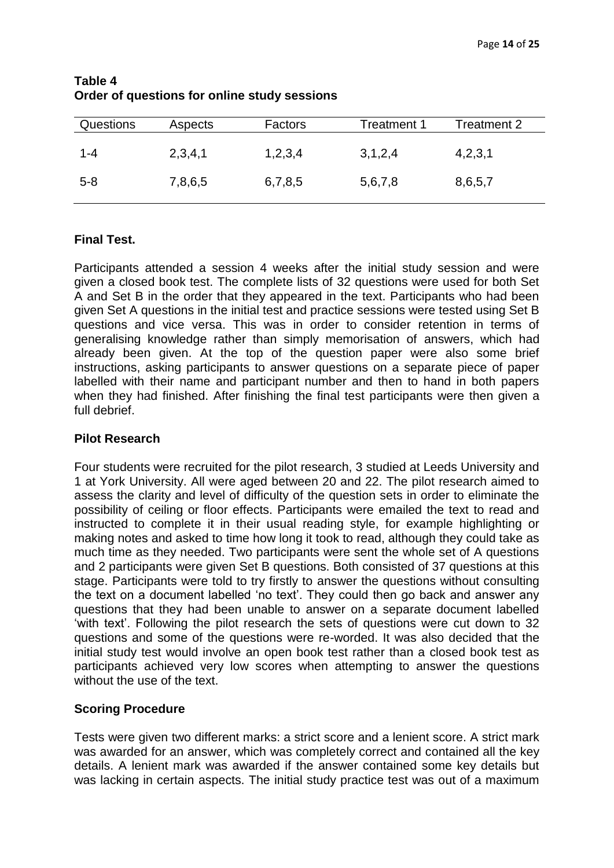| <b>Questions</b> | Aspects | Factors | Treatment 1 | Treatment 2 |
|------------------|---------|---------|-------------|-------------|
| 1-4              | 2,3,4,1 | 1,2,3,4 | 3,1,2,4     | 4,2,3,1     |
| $5 - 8$          | 7,8,6,5 | 6,7,8,5 | 5,6,7,8     | 8,6,5,7     |

# **Table 4 Order of questions for online study sessions**

# **Final Test.**

Participants attended a session 4 weeks after the initial study session and were given a closed book test. The complete lists of 32 questions were used for both Set A and Set B in the order that they appeared in the text. Participants who had been given Set A questions in the initial test and practice sessions were tested using Set B questions and vice versa. This was in order to consider retention in terms of generalising knowledge rather than simply memorisation of answers, which had already been given. At the top of the question paper were also some brief instructions, asking participants to answer questions on a separate piece of paper labelled with their name and participant number and then to hand in both papers when they had finished. After finishing the final test participants were then given a full debrief.

# **Pilot Research**

Four students were recruited for the pilot research, 3 studied at Leeds University and 1 at York University. All were aged between 20 and 22. The pilot research aimed to assess the clarity and level of difficulty of the question sets in order to eliminate the possibility of ceiling or floor effects. Participants were emailed the text to read and instructed to complete it in their usual reading style, for example highlighting or making notes and asked to time how long it took to read, although they could take as much time as they needed. Two participants were sent the whole set of A questions and 2 participants were given Set B questions. Both consisted of 37 questions at this stage. Participants were told to try firstly to answer the questions without consulting the text on a document labelled 'no text'. They could then go back and answer any questions that they had been unable to answer on a separate document labelled 'with text'. Following the pilot research the sets of questions were cut down to 32 questions and some of the questions were re-worded. It was also decided that the initial study test would involve an open book test rather than a closed book test as participants achieved very low scores when attempting to answer the questions without the use of the text.

# **Scoring Procedure**

Tests were given two different marks: a strict score and a lenient score. A strict mark was awarded for an answer, which was completely correct and contained all the key details. A lenient mark was awarded if the answer contained some key details but was lacking in certain aspects. The initial study practice test was out of a maximum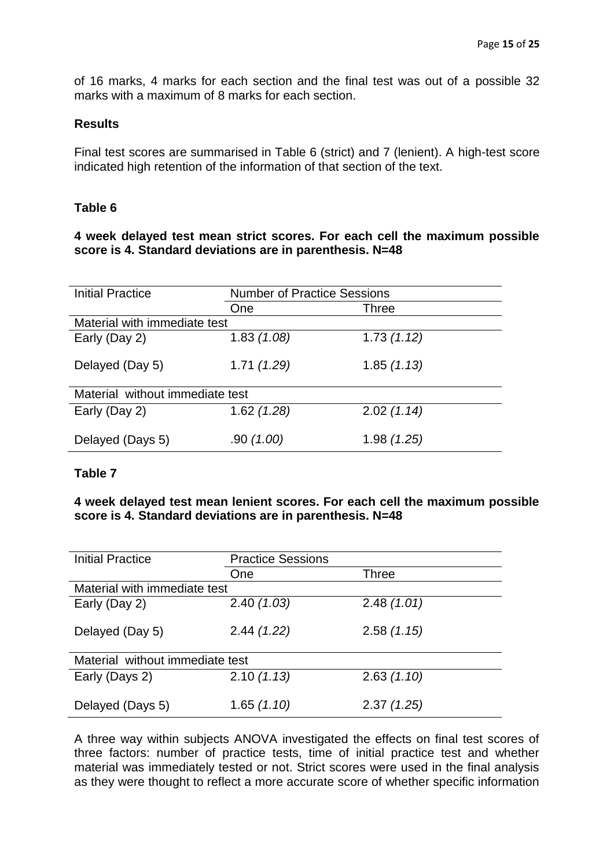of 16 marks, 4 marks for each section and the final test was out of a possible 32 marks with a maximum of 8 marks for each section.

#### **Results**

Final test scores are summarised in Table 6 (strict) and 7 (lenient). A high-test score indicated high retention of the information of that section of the text.

### **Table 6**

#### **4 week delayed test mean strict scores. For each cell the maximum possible score is 4. Standard deviations are in parenthesis. N=48**

| <b>Initial Practice</b>         | <b>Number of Practice Sessions</b> |            |  |
|---------------------------------|------------------------------------|------------|--|
|                                 | One                                | Three      |  |
| Material with immediate test    |                                    |            |  |
| Early (Day 2)                   | 1.83(1.08)                         | 1.73(1.12) |  |
| Delayed (Day 5)                 | 1.71(1.29)                         | 1.85(1.13) |  |
| Material without immediate test |                                    |            |  |
| Early (Day 2)                   | 1.62(1.28)                         | 2.02(1.14) |  |
| Delayed (Days 5)                | .90 (1.00)                         | 1.98(1.25) |  |

# **Table 7**

### **4 week delayed test mean lenient scores. For each cell the maximum possible score is 4. Standard deviations are in parenthesis. N=48**

| <b>Initial Practice</b>         | <b>Practice Sessions</b> |              |  |
|---------------------------------|--------------------------|--------------|--|
|                                 | One                      | <b>Three</b> |  |
| Material with immediate test    |                          |              |  |
| Early (Day 2)                   | 2.40(1.03)               | 2.48(1.01)   |  |
| Delayed (Day 5)                 | 2.44(1.22)               | 2.58(1.15)   |  |
| Material without immediate test |                          |              |  |
| Early (Days 2)                  | 2.10(1.13)               | 2.63(1.10)   |  |
| Delayed (Days 5)                | 1.65(1.10)               | 2.37(1.25)   |  |

A three way within subjects ANOVA investigated the effects on final test scores of three factors: number of practice tests, time of initial practice test and whether material was immediately tested or not. Strict scores were used in the final analysis as they were thought to reflect a more accurate score of whether specific information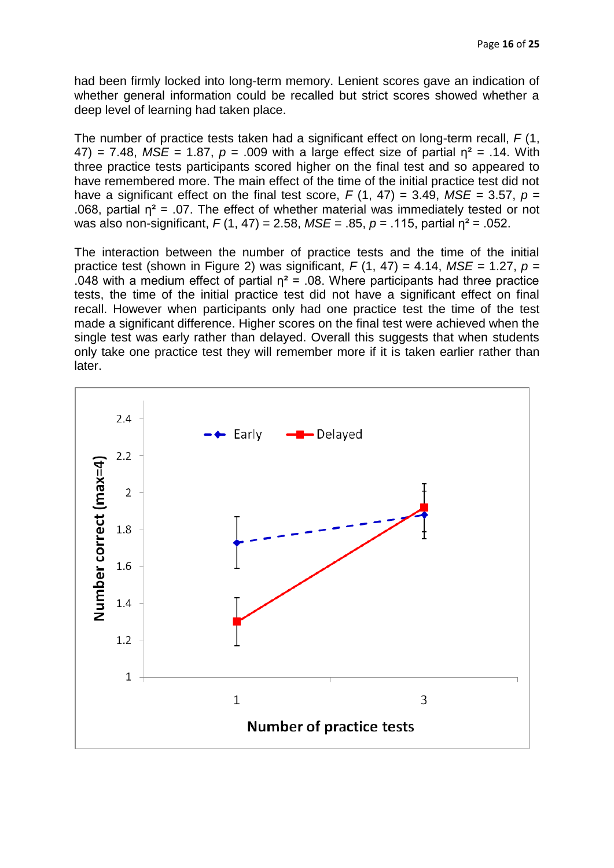had been firmly locked into long-term memory. Lenient scores gave an indication of whether general information could be recalled but strict scores showed whether a deep level of learning had taken place.

The number of practice tests taken had a significant effect on long-term recall, *F* (1,  $47$ ) = 7.48,  $MSE = 1.87$ ,  $p = .009$  with a large effect size of partial  $\eta^2 = .14$ . With three practice tests participants scored higher on the final test and so appeared to have remembered more. The main effect of the time of the initial practice test did not have a significant effect on the final test score,  $F(1, 47) = 3.49$ ,  $MSE = 3.57$ ,  $p =$ .068, partial  $n^2$  = .07. The effect of whether material was immediately tested or not was also non-significant, *F* (1, 47) = 2.58, *MSE* = .85, *p* = .115, partial η² = .052.

The interaction between the number of practice tests and the time of the initial practice test (shown in Figure 2) was significant,  $F(1, 47) = 4.14$ ,  $MSE = 1.27$ ,  $p =$ .048 with a medium effect of partial  $\eta^2$  = .08. Where participants had three practice tests, the time of the initial practice test did not have a significant effect on final recall. However when participants only had one practice test the time of the test made a significant difference. Higher scores on the final test were achieved when the single test was early rather than delayed. Overall this suggests that when students only take one practice test they will remember more if it is taken earlier rather than later.

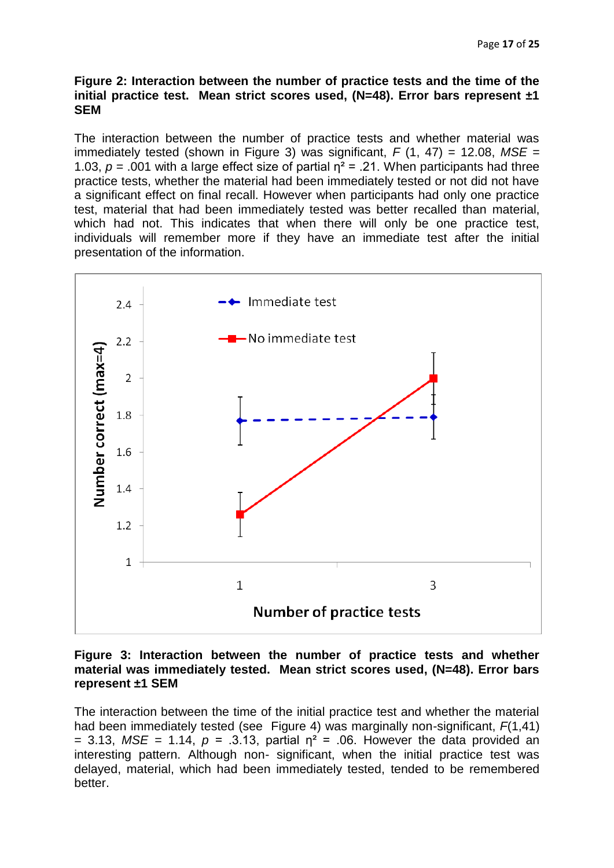#### **Figure 2: Interaction between the number of practice tests and the time of the initial practice test. Mean strict scores used, (N=48). Error bars represent ±1 SEM**

The interaction between the number of practice tests and whether material was immediately tested (shown in Figure 3) was significant,  $F(1, 47) = 12.08$ ,  $MSE =$ 1.03,  $p = .001$  with a large effect size of partial  $n^2 = .21$ . When participants had three practice tests, whether the material had been immediately tested or not did not have a significant effect on final recall. However when participants had only one practice test, material that had been immediately tested was better recalled than material, which had not. This indicates that when there will only be one practice test, individuals will remember more if they have an immediate test after the initial presentation of the information.



#### **Figure 3: Interaction between the number of practice tests and whether material was immediately tested. Mean strict scores used, (N=48). Error bars represent ±1 SEM**

The interaction between the time of the initial practice test and whether the material had been immediately tested (see Figure 4) was marginally non-significant, *F*(1,41)  $= 3.13$ , *MSE* = 1.14,  $p = 0.3.13$ , partial  $p^2 = 0.06$ . However the data provided an interesting pattern. Although non- significant, when the initial practice test was delayed, material, which had been immediately tested, tended to be remembered better.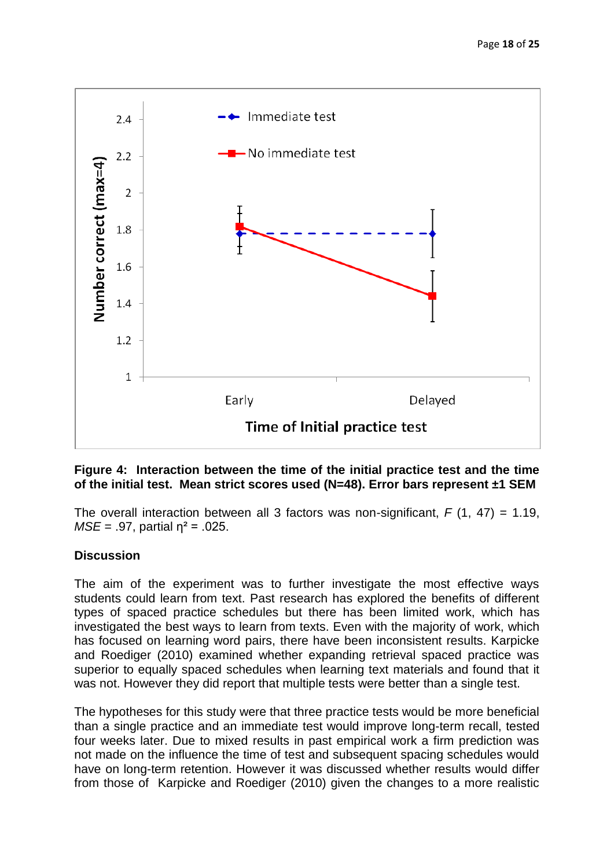

# **Figure 4:****Interaction between the time of the initial practice test and the time of the initial test. Mean strict scores used (N=48). Error bars represent ±1 SEM**

The overall interaction between all 3 factors was non-significant,  $F(1, 47) = 1.19$ ,  $MSE = .97$ , partial  $\eta^2 = .025$ .

# **Discussion**

The aim of the experiment was to further investigate the most effective ways students could learn from text. Past research has explored the benefits of different types of spaced practice schedules but there has been limited work, which has investigated the best ways to learn from texts. Even with the majority of work, which has focused on learning word pairs, there have been inconsistent results. Karpicke and Roediger (2010) examined whether expanding retrieval spaced practice was superior to equally spaced schedules when learning text materials and found that it was not. However they did report that multiple tests were better than a single test.

The hypotheses for this study were that three practice tests would be more beneficial than a single practice and an immediate test would improve long-term recall, tested four weeks later. Due to mixed results in past empirical work a firm prediction was not made on the influence the time of test and subsequent spacing schedules would have on long-term retention. However it was discussed whether results would differ from those of Karpicke and Roediger (2010) given the changes to a more realistic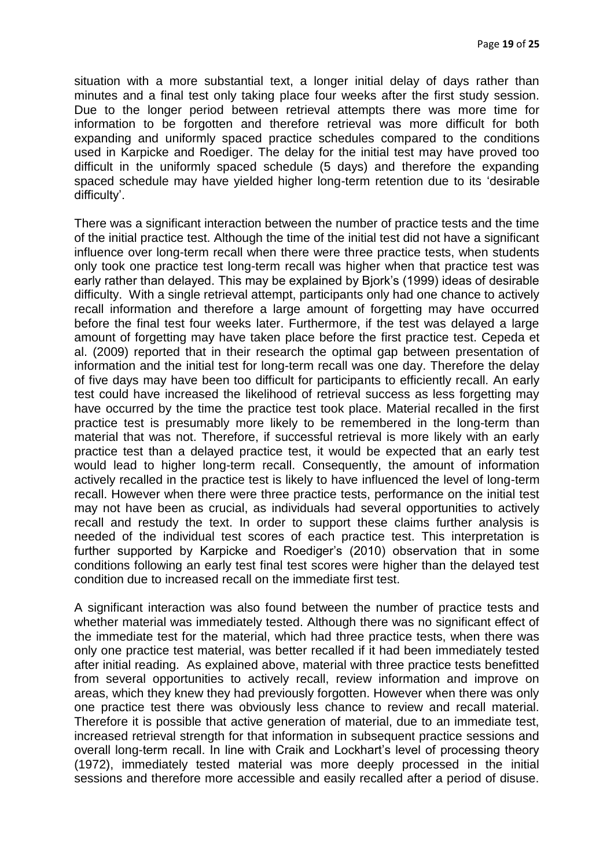situation with a more substantial text, a longer initial delay of days rather than minutes and a final test only taking place four weeks after the first study session. Due to the longer period between retrieval attempts there was more time for information to be forgotten and therefore retrieval was more difficult for both expanding and uniformly spaced practice schedules compared to the conditions used in Karpicke and Roediger. The delay for the initial test may have proved too difficult in the uniformly spaced schedule (5 days) and therefore the expanding spaced schedule may have yielded higher long-term retention due to its 'desirable difficulty'.

There was a significant interaction between the number of practice tests and the time of the initial practice test. Although the time of the initial test did not have a significant influence over long-term recall when there were three practice tests, when students only took one practice test long-term recall was higher when that practice test was early rather than delayed. This may be explained by Bjork's (1999) ideas of desirable difficulty. With a single retrieval attempt, participants only had one chance to actively recall information and therefore a large amount of forgetting may have occurred before the final test four weeks later. Furthermore, if the test was delayed a large amount of forgetting may have taken place before the first practice test. Cepeda et al. (2009) reported that in their research the optimal gap between presentation of information and the initial test for long-term recall was one day. Therefore the delay of five days may have been too difficult for participants to efficiently recall. An early test could have increased the likelihood of retrieval success as less forgetting may have occurred by the time the practice test took place. Material recalled in the first practice test is presumably more likely to be remembered in the long-term than material that was not. Therefore, if successful retrieval is more likely with an early practice test than a delayed practice test, it would be expected that an early test would lead to higher long-term recall. Consequently, the amount of information actively recalled in the practice test is likely to have influenced the level of long-term recall. However when there were three practice tests, performance on the initial test may not have been as crucial, as individuals had several opportunities to actively recall and restudy the text. In order to support these claims further analysis is needed of the individual test scores of each practice test. This interpretation is further supported by Karpicke and Roediger's (2010) observation that in some conditions following an early test final test scores were higher than the delayed test condition due to increased recall on the immediate first test.

A significant interaction was also found between the number of practice tests and whether material was immediately tested. Although there was no significant effect of the immediate test for the material, which had three practice tests, when there was only one practice test material, was better recalled if it had been immediately tested after initial reading. As explained above, material with three practice tests benefitted from several opportunities to actively recall, review information and improve on areas, which they knew they had previously forgotten. However when there was only one practice test there was obviously less chance to review and recall material. Therefore it is possible that active generation of material, due to an immediate test, increased retrieval strength for that information in subsequent practice sessions and overall long-term recall. In line with Craik and Lockhart's level of processing theory (1972), immediately tested material was more deeply processed in the initial sessions and therefore more accessible and easily recalled after a period of disuse.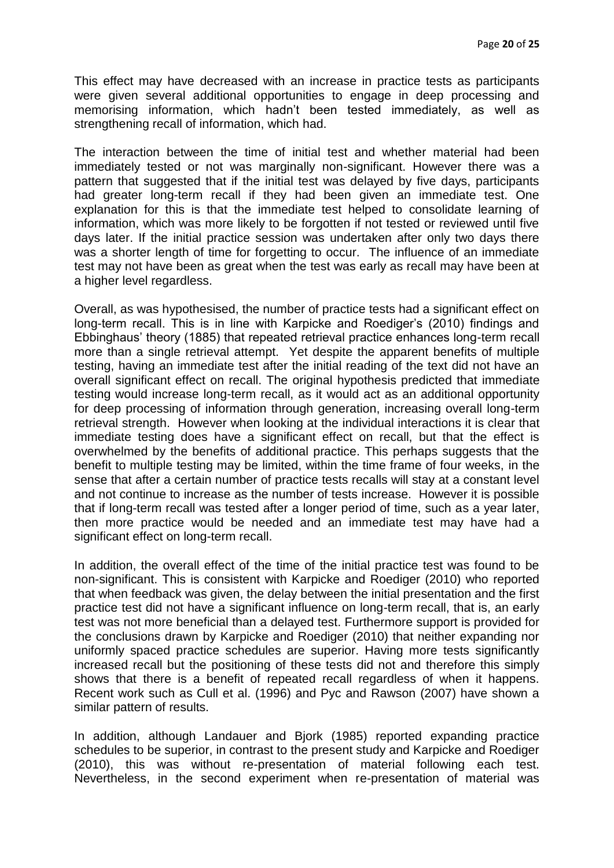This effect may have decreased with an increase in practice tests as participants were given several additional opportunities to engage in deep processing and memorising information, which hadn't been tested immediately, as well as strengthening recall of information, which had.

The interaction between the time of initial test and whether material had been immediately tested or not was marginally non-significant. However there was a pattern that suggested that if the initial test was delayed by five days, participants had greater long-term recall if they had been given an immediate test. One explanation for this is that the immediate test helped to consolidate learning of information, which was more likely to be forgotten if not tested or reviewed until five days later. If the initial practice session was undertaken after only two days there was a shorter length of time for forgetting to occur. The influence of an immediate test may not have been as great when the test was early as recall may have been at a higher level regardless.

Overall, as was hypothesised, the number of practice tests had a significant effect on long-term recall. This is in line with Karpicke and Roediger's (2010) findings and Ebbinghaus' theory (1885) that repeated retrieval practice enhances long-term recall more than a single retrieval attempt. Yet despite the apparent benefits of multiple testing, having an immediate test after the initial reading of the text did not have an overall significant effect on recall. The original hypothesis predicted that immediate testing would increase long-term recall, as it would act as an additional opportunity for deep processing of information through generation, increasing overall long-term retrieval strength. However when looking at the individual interactions it is clear that immediate testing does have a significant effect on recall, but that the effect is overwhelmed by the benefits of additional practice. This perhaps suggests that the benefit to multiple testing may be limited, within the time frame of four weeks, in the sense that after a certain number of practice tests recalls will stay at a constant level and not continue to increase as the number of tests increase. However it is possible that if long-term recall was tested after a longer period of time, such as a year later, then more practice would be needed and an immediate test may have had a significant effect on long-term recall.

In addition, the overall effect of the time of the initial practice test was found to be non-significant. This is consistent with Karpicke and Roediger (2010) who reported that when feedback was given, the delay between the initial presentation and the first practice test did not have a significant influence on long-term recall, that is, an early test was not more beneficial than a delayed test. Furthermore support is provided for the conclusions drawn by Karpicke and Roediger (2010) that neither expanding nor uniformly spaced practice schedules are superior. Having more tests significantly increased recall but the positioning of these tests did not and therefore this simply shows that there is a benefit of repeated recall regardless of when it happens. Recent work such as Cull et al. (1996) and Pyc and Rawson (2007) have shown a similar pattern of results.

In addition, although Landauer and Bjork (1985) reported expanding practice schedules to be superior, in contrast to the present study and Karpicke and Roediger (2010), this was without re-presentation of material following each test. Nevertheless, in the second experiment when re-presentation of material was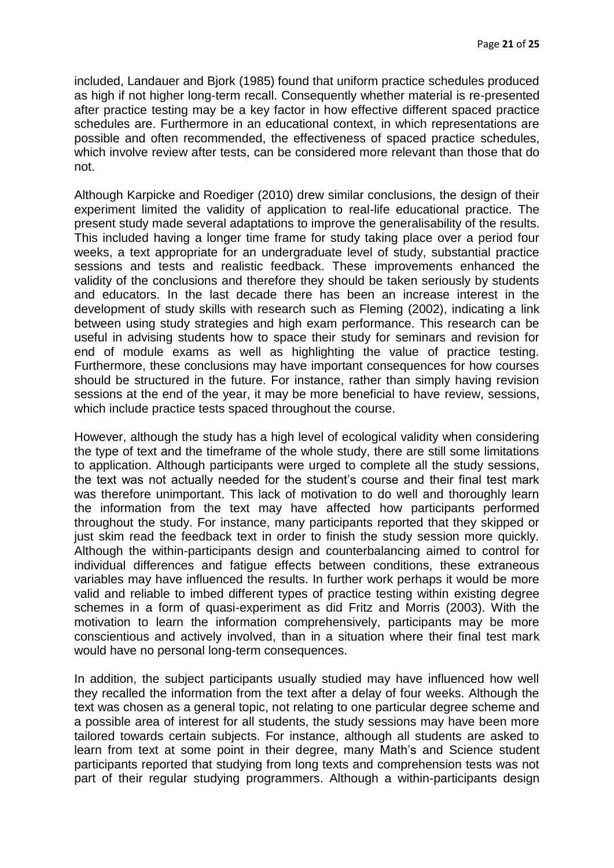included, Landauer and Bjork (1985) found that uniform practice schedules produced as high if not higher long-term recall. Consequently whether material is re-presented after practice testing may be a key factor in how effective different spaced practice schedules are. Furthermore in an educational context, in which representations are possible and often recommended, the effectiveness of spaced practice schedules, which involve review after tests, can be considered more relevant than those that do not.

Although Karpicke and Roediger (2010) drew similar conclusions, the design of their experiment limited the validity of application to real-life educational practice. The present study made several adaptations to improve the generalisability of the results. This included having a longer time frame for study taking place over a period four weeks, a text appropriate for an undergraduate level of study, substantial practice sessions and tests and realistic feedback. These improvements enhanced the validity of the conclusions and therefore they should be taken seriously by students and educators. In the last decade there has been an increase interest in the development of study skills with research such as Fleming (2002), indicating a link between using study strategies and high exam performance. This research can be useful in advising students how to space their study for seminars and revision for end of module exams as well as highlighting the value of practice testing. Furthermore, these conclusions may have important consequences for how courses should be structured in the future. For instance, rather than simply having revision sessions at the end of the year, it may be more beneficial to have review, sessions, which include practice tests spaced throughout the course.

However, although the study has a high level of ecological validity when considering the type of text and the timeframe of the whole study, there are still some limitations to application. Although participants were urged to complete all the study sessions, the text was not actually needed for the student's course and their final test mark was therefore unimportant. This lack of motivation to do well and thoroughly learn the information from the text may have affected how participants performed throughout the study. For instance, many participants reported that they skipped or just skim read the feedback text in order to finish the study session more quickly. Although the within-participants design and counterbalancing aimed to control for individual differences and fatigue effects between conditions, these extraneous variables may have influenced the results. In further work perhaps it would be more valid and reliable to imbed different types of practice testing within existing degree schemes in a form of quasi-experiment as did Fritz and Morris (2003). With the motivation to learn the information comprehensively, participants may be more conscientious and actively involved, than in a situation where their final test mark would have no personal long-term consequences.

In addition, the subject participants usually studied may have influenced how well they recalled the information from the text after a delay of four weeks. Although the text was chosen as a general topic, not relating to one particular degree scheme and a possible area of interest for all students, the study sessions may have been more tailored towards certain subjects. For instance, although all students are asked to learn from text at some point in their degree, many Math's and Science student participants reported that studying from long texts and comprehension tests was not part of their regular studying programmers. Although a within-participants design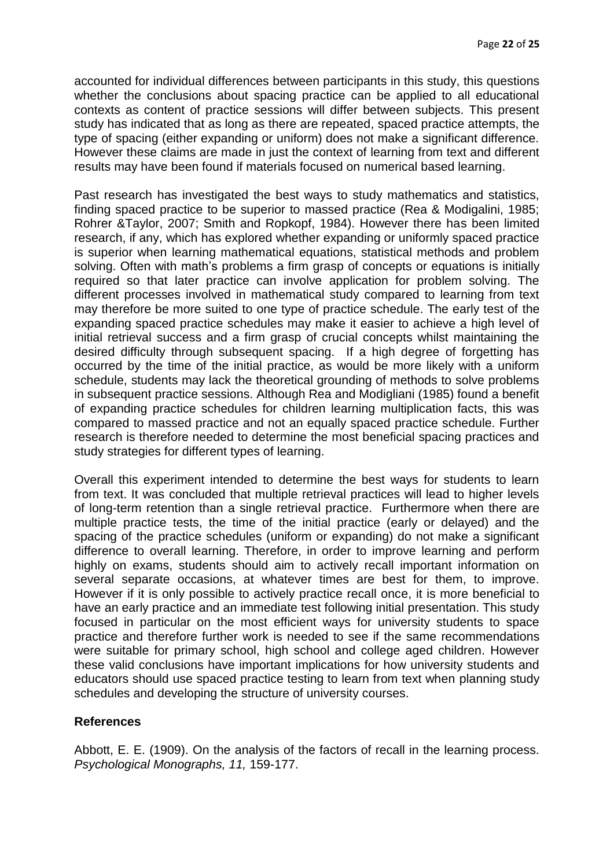accounted for individual differences between participants in this study, this questions whether the conclusions about spacing practice can be applied to all educational contexts as content of practice sessions will differ between subjects. This present study has indicated that as long as there are repeated, spaced practice attempts, the type of spacing (either expanding or uniform) does not make a significant difference. However these claims are made in just the context of learning from text and different results may have been found if materials focused on numerical based learning.

Past research has investigated the best ways to study mathematics and statistics, finding spaced practice to be superior to massed practice (Rea & Modigalini, 1985; Rohrer &Taylor, 2007; Smith and Ropkopf, 1984). However there has been limited research, if any, which has explored whether expanding or uniformly spaced practice is superior when learning mathematical equations, statistical methods and problem solving. Often with math's problems a firm grasp of concepts or equations is initially required so that later practice can involve application for problem solving. The different processes involved in mathematical study compared to learning from text may therefore be more suited to one type of practice schedule. The early test of the expanding spaced practice schedules may make it easier to achieve a high level of initial retrieval success and a firm grasp of crucial concepts whilst maintaining the desired difficulty through subsequent spacing. If a high degree of forgetting has occurred by the time of the initial practice, as would be more likely with a uniform schedule, students may lack the theoretical grounding of methods to solve problems in subsequent practice sessions. Although Rea and Modigliani (1985) found a benefit of expanding practice schedules for children learning multiplication facts, this was compared to massed practice and not an equally spaced practice schedule. Further research is therefore needed to determine the most beneficial spacing practices and study strategies for different types of learning.

Overall this experiment intended to determine the best ways for students to learn from text. It was concluded that multiple retrieval practices will lead to higher levels of long-term retention than a single retrieval practice. Furthermore when there are multiple practice tests, the time of the initial practice (early or delayed) and the spacing of the practice schedules (uniform or expanding) do not make a significant difference to overall learning. Therefore, in order to improve learning and perform highly on exams, students should aim to actively recall important information on several separate occasions, at whatever times are best for them, to improve. However if it is only possible to actively practice recall once, it is more beneficial to have an early practice and an immediate test following initial presentation. This study focused in particular on the most efficient ways for university students to space practice and therefore further work is needed to see if the same recommendations were suitable for primary school, high school and college aged children. However these valid conclusions have important implications for how university students and educators should use spaced practice testing to learn from text when planning study schedules and developing the structure of university courses.

# **References**

Abbott, E. E. (1909). On the analysis of the factors of recall in the learning process. *Psychological Monographs, 11,* 159-177.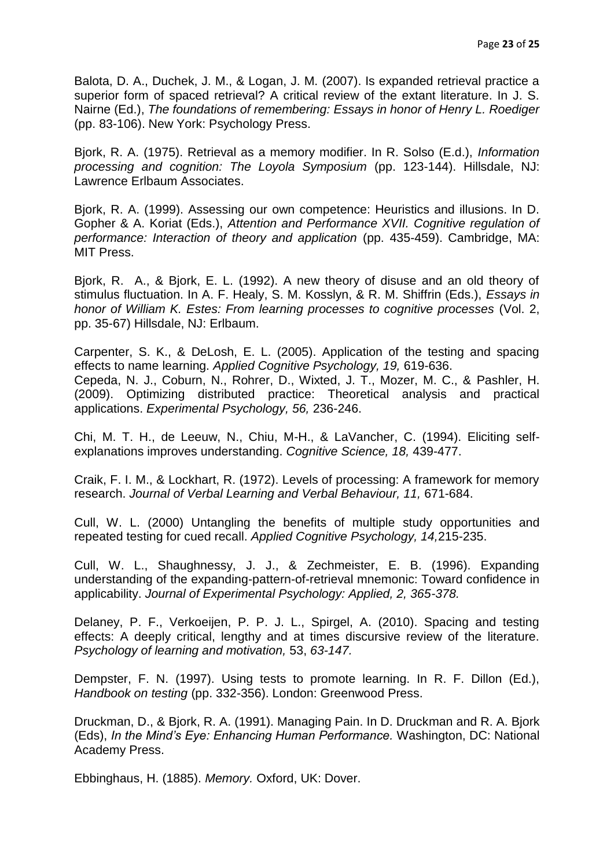Balota, D. A., Duchek, J. M., & Logan, J. M. (2007). Is expanded retrieval practice a superior form of spaced retrieval? A critical review of the extant literature. In J. S. Nairne (Ed.), *The foundations of remembering: Essays in honor of Henry L. Roediger*  (pp. 83-106). New York: Psychology Press.

Bjork, R. A. (1975). Retrieval as a memory modifier. In R. Solso (E.d.), *Information processing and cognition: The Loyola Symposium* (pp. 123-144). Hillsdale, NJ: Lawrence Erlbaum Associates.

Bjork, R. A. (1999). Assessing our own competence: Heuristics and illusions. In D. Gopher & A. Koriat (Eds.), *Attention and Performance XVII. Cognitive regulation of performance: Interaction of theory and application* (pp. 435-459). Cambridge, MA: MIT Press.

Bjork, R. A., & Bjork, E. L. (1992). A new theory of disuse and an old theory of stimulus fluctuation. In A. F. Healy, S. M. Kosslyn, & R. M. Shiffrin (Eds.), *Essays in honor of William K. Estes: From learning processes to cognitive processes* (Vol. 2, pp. 35-67) Hillsdale, NJ: Erlbaum.

Carpenter, S. K., & DeLosh, E. L. (2005). Application of the testing and spacing effects to name learning. *Applied Cognitive Psychology, 19,* 619-636. Cepeda, N. J., Coburn, N., Rohrer, D., Wixted, J. T., Mozer, M. C., & Pashler, H. (2009). Optimizing distributed practice: Theoretical analysis and practical applications. *Experimental Psychology, 56,* 236-246.

Chi, M. T. H., de Leeuw, N., Chiu, M-H., & LaVancher, C. (1994). Eliciting selfexplanations improves understanding. *Cognitive Science, 18,* 439-477.

Craik, F. I. M., & Lockhart, R. (1972). Levels of processing: A framework for memory research. *Journal of Verbal Learning and Verbal Behaviour, 11,* 671-684.

Cull, W. L. (2000) Untangling the benefits of multiple study opportunities and repeated testing for cued recall. *Applied Cognitive Psychology, 14,*215-235.

Cull, W. L., Shaughnessy, J. J., & Zechmeister, E. B. (1996). Expanding understanding of the expanding-pattern-of-retrieval mnemonic: Toward confidence in applicability. *Journal of Experimental Psychology: Applied, 2, 365-378.*

Delaney, P. F., Verkoeijen, P. P. J. L., Spirgel, A. (2010). Spacing and testing effects: A deeply critical, lengthy and at times discursive review of the literature. *Psychology of learning and motivation,* 53, *63-147.*

Dempster, F. N. (1997). Using tests to promote learning. In R. F. Dillon (Ed.), *Handbook on testing* (pp. 332-356). London: Greenwood Press.

Druckman, D., & Bjork, R. A. (1991). Managing Pain. In D. Druckman and R. A. Bjork (Eds), *In the Mind's Eye: Enhancing Human Performance.* Washington, DC: National Academy Press.

Ebbinghaus, H. (1885). *Memory.* Oxford, UK: Dover.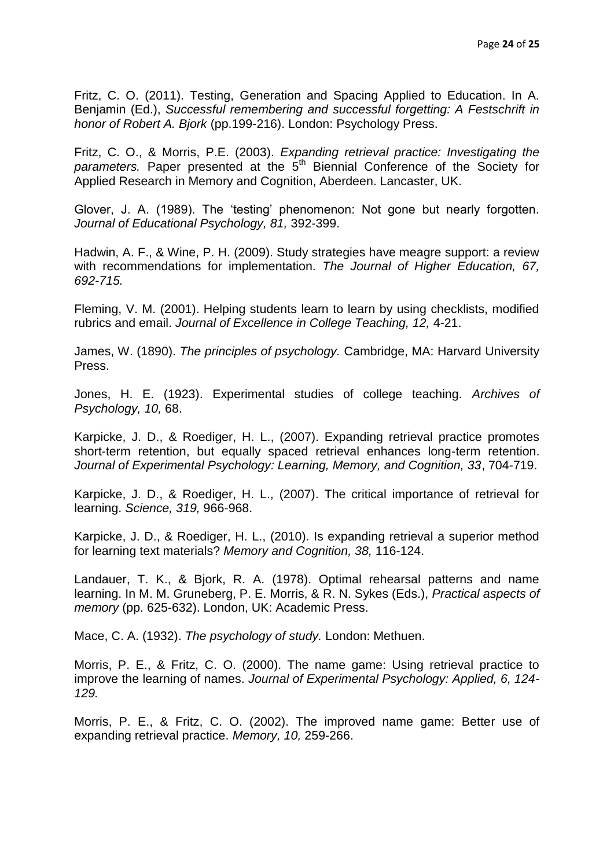Fritz, C. O. (2011). Testing, Generation and Spacing Applied to Education. In A. Benjamin (Ed.), *Successful remembering and successful forgetting: A Festschrift in honor of Robert A. Bjork* (pp.199-216). London: Psychology Press.

Fritz, C. O., & Morris, P.E. (2003). *Expanding retrieval practice: Investigating the*  parameters. Paper presented at the 5<sup>th</sup> Biennial Conference of the Society for Applied Research in Memory and Cognition, Aberdeen. Lancaster, UK.

Glover, J. A. (1989). The 'testing' phenomenon: Not gone but nearly forgotten. *Journal of Educational Psychology, 81,* 392-399.

Hadwin, A. F., & Wine, P. H. (2009). Study strategies have meagre support: a review with recommendations for implementation. *The Journal of Higher Education, 67, 692-715.*

Fleming, V. M. (2001). Helping students learn to learn by using checklists, modified rubrics and email. *Journal of Excellence in College Teaching, 12,* 4-21.

James, W. (1890). *The principles of psychology.* Cambridge, MA: Harvard University Press.

Jones, H. E. (1923). Experimental studies of college teaching. *Archives of Psychology, 10,* 68.

Karpicke, J. D., & Roediger, H. L., (2007). Expanding retrieval practice promotes short-term retention, but equally spaced retrieval enhances long-term retention. *Journal of Experimental Psychology: Learning, Memory, and Cognition, 33*, 704-719.

Karpicke, J. D., & Roediger, H. L., (2007). The critical importance of retrieval for learning. *Science, 319,* 966-968.

Karpicke, J. D., & Roediger, H. L., (2010). Is expanding retrieval a superior method for learning text materials? *Memory and Cognition, 38,* 116-124.

Landauer, T. K., & Bjork, R. A. (1978). Optimal rehearsal patterns and name learning. In M. M. Gruneberg, P. E. Morris, & R. N. Sykes (Eds.), *Practical aspects of memory* (pp. 625-632). London, UK: Academic Press.

Mace, C. A. (1932). *The psychology of study.* London: Methuen.

Morris, P. E., & Fritz, C. O. (2000). The name game: Using retrieval practice to improve the learning of names. *Journal of Experimental Psychology: Applied, 6, 124- 129.*

Morris, P. E., & Fritz, C. O. (2002). The improved name game: Better use of expanding retrieval practice. *Memory, 10,* 259-266.